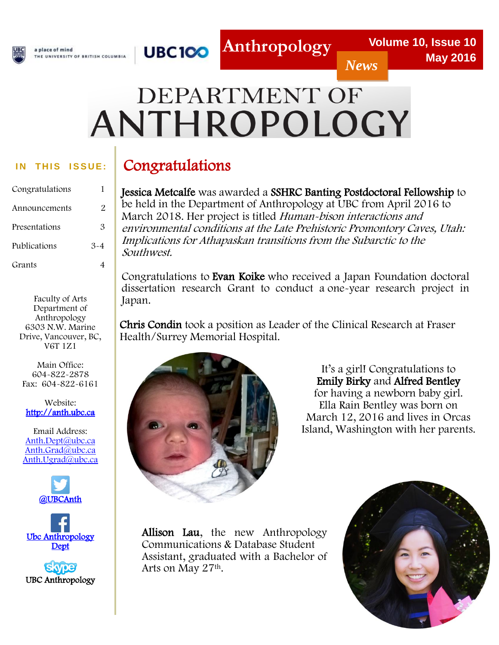

**UBC100** a place of mind THE UNIVERSITY OF BRITISH COLUMBIA

#### *News*

# DEPARTMENT OF ANTHROPOLOGY

l

#### **IN THIS ISSUE:**

| Congratulations | 1       |
|-----------------|---------|
| Announcements   | 2       |
| Presentations   | 3       |
| Publications    | $3 - 4$ |
| Grants          |         |

Faculty of Arts Department of Anthropology 6303 N.W. Marine Drive, Vancouver, BC, V6T 1Z1

Main Office: 604-822-2878 Fax: 604-822-6161

Website: [http://anth.ubc.ca](http://anth.ubc.ca/)

Email Address: [Anth.Dept@ubc.ca](mailto:Anth.Dept@ubc.ca) [Anth.Grad@ubc.ca](mailto:anth.grad@ubc.ca)  [Anth.Ugrad@ubc.ca](mailto:Anth.Ugrad@ubc.ca)



[Ubc Anthropology](http://www.facebook.com/people/Ubc-AnthropologyDept/100001061768232)  **Dept** 

**Skype** UBC Anthropology

# Congratulations

Jessica Metcalfe was awarded a SSHRC Banting Postdoctoral Fellowship to be held in the Department of Anthropology at UBC from April 2016 to March 2018. Her project is titled Human-bison interactions and environmental conditions at the Late Prehistoric Promontory Caves, Utah: Implications for Athapaskan transitions from the Subarctic to the Southwest.

Congratulations to Evan Koike who received a Japan Foundation doctoral dissertation research Grant to conduct a one-year research project in Japan.

 Chris Condin took a position as Leader of the Clinical Research at Fraser Health/Surrey Memorial Hospital.



It's a girl! Congratulations to Emily Birky and Alfred Bentley for having a newborn baby girl. Ella Rain Bentley was born on March 12, 2016 and lives in Orcas Island, Washington with her parents.

Allison Lau, the new Anthropology Communications & Database Student Assistant, graduated with a Bachelor of Arts on May 27th.

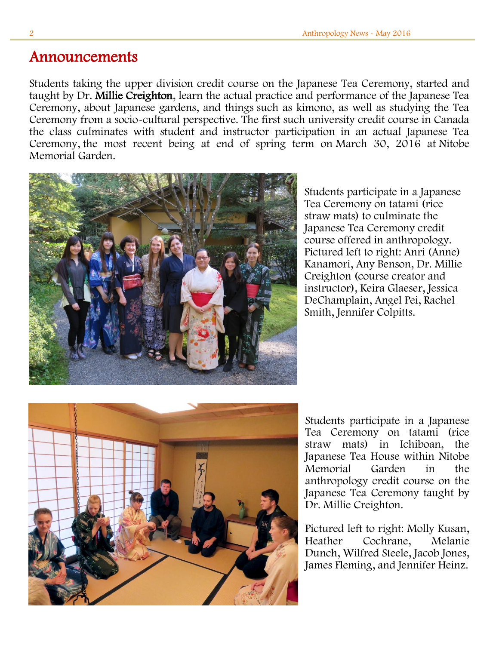### Announcements

Students taking the upper division credit course on the Japanese Tea Ceremony, started and taught by Dr. Millie Creighton, learn the actual practice and performance of the Japanese Tea Ceremony, about Japanese gardens, and things such as kimono, as well as studying the Tea Ceremony from a socio-cultural perspective. The first such university credit course in Canada the class culminates with student and instructor participation in an actual Japanese Tea Ceremony, the most recent being at end of spring term on March 30, 2016 at Nitobe Memorial Garden.



Students participate in a Japanese Tea Ceremony on tatami (rice straw mats) to culminate the Japanese Tea Ceremony credit course offered in anthropology. Pictured left to right: Anri (Anne) Kanamori, Any Benson, Dr. Millie Creighton (course creator and instructor), Keira Glaeser, Jessica DeChamplain, Angel Pei, Rachel Smith, Jennifer Colpitts.



Students participate in a Japanese Tea Ceremony on tatami (rice straw mats) in Ichiboan, the Japanese Tea House within Nitobe Memorial Garden in the anthropology credit course on the Japanese Tea Ceremony taught by Dr. Millie Creighton.

Pictured left to right: Molly Kusan, Heather Cochrane, Melanie Dunch, Wilfred Steele, Jacob Jones, James Fleming, and Jennifer Heinz.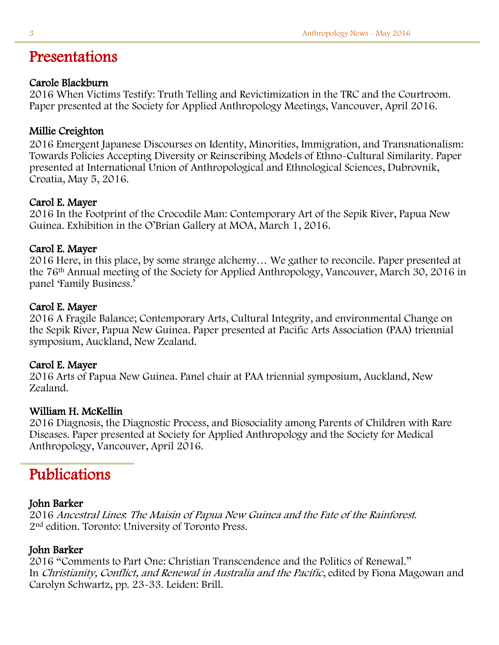## Presentations

#### Carole Blackburn

2016 When Victims Testify: Truth Telling and Revictimization in the TRC and the Courtroom. Paper presented at the Society for Applied Anthropology Meetings, Vancouver, April 2016.

#### Millie Creighton

2016 Emergent Japanese Discourses on Identity, Minorities, Immigration, and Transnationalism: Towards Policies Accepting Diversity or Reinscribing Models of Ethno-Cultural Similarity. Paper presented at International Union of Anthropological and Ethnological Sciences, Dubrovnik, Croatia, May 5, 2016.

#### Carol E. Mayer

2016 In the Footprint of the Crocodile Man: Contemporary Art of the Sepik River, Papua New Guinea. Exhibition in the O'Brian Gallery at MOA, March 1, 2016.

#### Carol E. Mayer

2016 Here, in this place, by some strange alchemy… We gather to reconcile. Paper presented at the 76th Annual meeting of the Society for Applied Anthropology, Vancouver, March 30, 2016 in panel 'Family Business.'

#### Carol E. Mayer

2016 A Fragile Balance; Contemporary Arts, Cultural Integrity, and environmental Change on the Sepik River, Papua New Guinea. Paper presented at Pacific Arts Association (PAA) triennial symposium, Auckland, New Zealand.

#### Carol E. Mayer

2016 Arts of Papua New Guinea. Panel chair at PAA triennial symposium, Auckland, New Zealand.

#### William H. McKellin

2016 Diagnosis, the Diagnostic Process, and Biosociality among Parents of Children with Rare Diseases. Paper presented at Society for Applied Anthropology and the Society for Medical Anthropology, Vancouver, April 2016.

## Publications

#### John Barker

2016 Ancestral Lines: The Maisin of Papua New Guinea and the Fate of the Rainforest. 2nd edition. Toronto: University of Toronto Press.

#### John Barker

2016 "Comments to Part One: Christian Transcendence and the Politics of Renewal." In Christianity, Conflict, and Renewal in Australia and the Pacific, edited by Fiona Magowan and Carolyn Schwartz, pp. 23-33. Leiden: Brill.